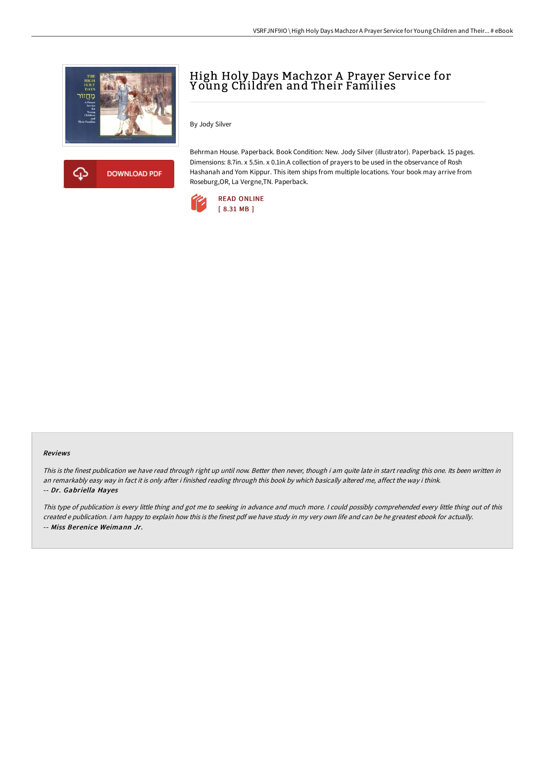



## High Holy Days Machzor A Prayer Service for Young Children and Their Families

By Jody Silver

Behrman House. Paperback. Book Condition: New. Jody Silver (illustrator). Paperback. 15 pages. Dimensions: 8.7in. x 5.5in. x 0.1in.A collection of prayers to be used in the observance of Rosh Hashanah and Yom Kippur. This item ships from multiple locations. Your book may arrive from Roseburg,OR, La Vergne,TN. Paperback.



## Reviews

This is the finest publication we have read through right up until now. Better then never, though i am quite late in start reading this one. Its been written in an remarkably easy way in fact it is only after i finished reading through this book by which basically altered me, affect the way i think. -- Dr. Gabriella Hayes

This type of publication is every little thing and got me to seeking in advance and much more. <sup>I</sup> could possibly comprehended every little thing out of this created <sup>e</sup> publication. <sup>I</sup> am happy to explain how this is the finest pdf we have study in my very own life and can be he greatest ebook for actually. -- Miss Berenice Weimann Jr.